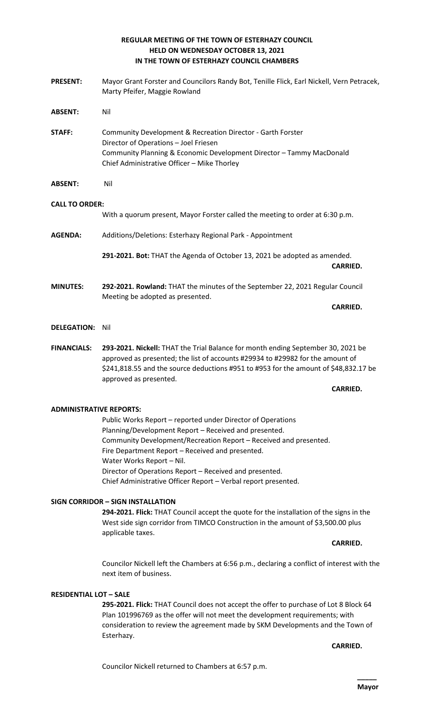## **REGULAR MEETING OF THE TOWN OF ESTERHAZY COUNCIL HELD ON WEDNESDAY OCTOBER 13, 2021 IN THE TOWN OF ESTERHAZY COUNCIL CHAMBERS**

- **PRESENT:** Mayor Grant Forster and Councilors Randy Bot, Tenille Flick, Earl Nickell, Vern Petracek, Marty Pfeifer, Maggie Rowland **ABSENT:** Nil **STAFF:** Community Development & Recreation Director - Garth Forster Director of Operations – Joel Friesen Community Planning & Economic Development Director – Tammy MacDonald Chief Administrative Officer – Mike Thorley **ABSENT:** Nil **CALL TO ORDER:** With a quorum present, Mayor Forster called the meeting to order at 6:30 p.m. **AGENDA:** Additions/Deletions: Esterhazy Regional Park - Appointment **291-2021. Bot:** THAT the Agenda of October 13, 2021 be adopted as amended. **CARRIED. MINUTES: 292-2021. Rowland:** THAT the minutes of the September 22, 2021 Regular Council Meeting be adopted as presented. **CARRIED. DELEGATION:** Nil
- **FINANCIALS: 293-2021. Nickell:** THAT the Trial Balance for month ending September 30, 2021 be approved as presented; the list of accounts #29934 to #29982 for the amount of \$241,818.55 and the source deductions #951 to #953 for the amount of \$48,832.17 be approved as presented.

## **CARRIED.**

## **ADMINISTRATIVE REPORTS:**

Public Works Report – reported under Director of Operations Planning/Development Report – Received and presented. Community Development/Recreation Report – Received and presented. Fire Department Report – Received and presented. Water Works Report – Nil. Director of Operations Report – Received and presented. Chief Administrative Officer Report – Verbal report presented.

## **SIGN CORRIDOR – SIGN INSTALLATION**

**294-2021. Flick:** THAT Council accept the quote for the installation of the signs in the West side sign corridor from TIMCO Construction in the amount of \$3,500.00 plus applicable taxes.

## **CARRIED.**

Councilor Nickell left the Chambers at 6:56 p.m., declaring a conflict of interest with the next item of business.

## **RESIDENTIAL LOT – SALE**

**295-2021. Flick:** THAT Council does not accept the offer to purchase of Lot 8 Block 64 Plan 101996769 as the offer will not meet the development requirements; with consideration to review the agreement made by SKM Developments and the Town of Esterhazy.

**CARRIED.**

Councilor Nickell returned to Chambers at 6:57 p.m.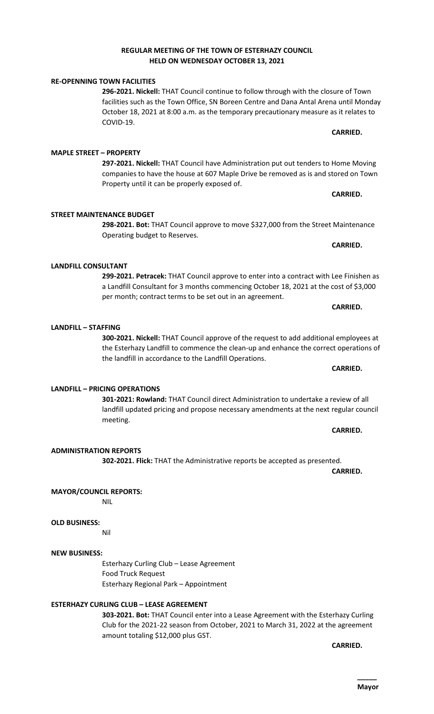## **REGULAR MEETING OF THE TOWN OF ESTERHAZY COUNCIL HELD ON WEDNESDAY OCTOBER 13, 2021**

## **RE-OPENNING TOWN FACILITIES**

**296-2021. Nickell:** THAT Council continue to follow through with the closure of Town facilities such as the Town Office, SN Boreen Centre and Dana Antal Arena until Monday October 18, 2021 at 8:00 a.m. as the temporary precautionary measure as it relates to COVID-19.

**297-2021. Nickell:** THAT Council have Administration put out tenders to Home Moving companies to have the house at 607 Maple Drive be removed as is and stored on Town Property until it can be properly exposed of.

**298-2021. Bot:** THAT Council approve to move \$327,000 from the Street Maintenance Operating budget to Reserves.

**299-2021. Petracek:** THAT Council approve to enter into a contract with Lee Finishen as a Landfill Consultant for 3 months commencing October 18, 2021 at the cost of \$3,000 per month; contract terms to be set out in an agreement.

**300-2021. Nickell:** THAT Council approve of the request to add additional employees at the Esterhazy Landfill to commence the clean-up and enhance the correct operations of the landfill in accordance to the Landfill Operations.

**301-2021: Rowland:** THAT Council direct Administration to undertake a review of all landfill updated pricing and propose necessary amendments at the next regular council

**ADMINISTRATION REPORTS 302-2021. Flick:** THAT the Administrative reports be accepted as presented.

## **MAYOR/COUNCIL REPORTS:**

NIL

## **OLD BUSINESS:**

Nil

## **NEW BUSINESS:**

Esterhazy Curling Club – Lease Agreement Food Truck Request Esterhazy Regional Park – Appointment

## **ESTERHAZY CURLING CLUB – LEASE AGREEMENT**

**303-2021. Bot:** THAT Council enter into a Lease Agreement with the Esterhazy Curling Club for the 2021-22 season from October, 2021 to March 31, 2022 at the agreement amount totaling \$12,000 plus GST.

**CARRIED.** 

**MAPLE STREET – PROPERTY**

**STREET MAINTENANCE BUDGET**

## **LANDFILL CONSULTANT**

# **LANDFILL – STAFFING**

## **LANDFILL – PRICING OPERATIONS**

## meeting.

**CARRIED.**

**CARRIED.** 

**CARRIED.** 

**CARRIED.** 

**CARRIED.**

**CARRIED.**

**CARRIED.**